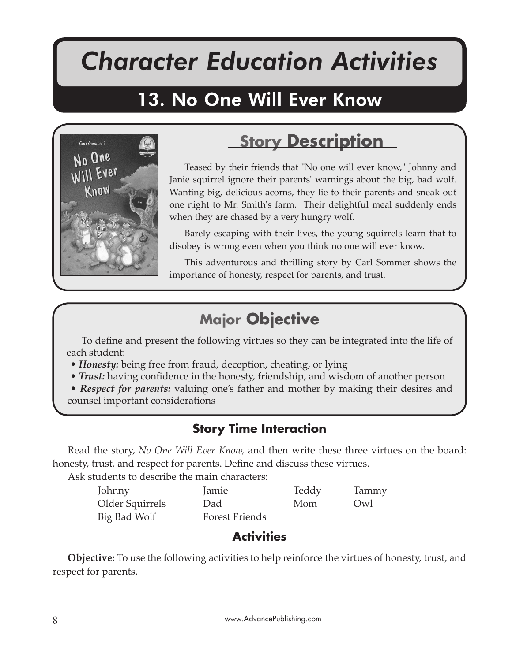# *Character Education Activities*

No One Will Ever Know

# 13. No One Will Ever Know



# **Story Description**

Teased by their friends that "No one will ever know," Johnny and Janie squirrel ignore their parents' warnings about the big, bad wolf. Wanting big, delicious acorns, they lie to their parents and sneak out one night to Mr. Smith's farm. Their delightful meal suddenly ends when they are chased by a very hungry wolf.

Barely escaping with their lives, the young squirrels learn that to disobey is wrong even when you think no one will ever know.

This adventurous and thrilling story by Carl Sommer shows the importance of honesty, respect for parents, and trust.

## **Major Objective**

To define and present the following virtues so they can be integrated into the life of each student:

- *Honesty:* being free from fraud, deception, cheating, or lying
- *Trust:* having confidence in the honesty, friendship, and wisdom of another person
- *Respect for parents:* valuing one's father and mother by making their desires and counsel important considerations

#### **Story Time Interaction**

Read the story, *No One Will Ever Know,* and then write these three virtues on the board: honesty, trust, and respect for parents. Define and discuss these virtues.

Ask students to describe the main characters:

| Johnny          | Jamie                 | Teddy | Tammy |
|-----------------|-----------------------|-------|-------|
| Older Squirrels | Dad                   | Mom   | Qw    |
| Big Bad Wolf    | <b>Forest Friends</b> |       |       |

### **Activities**

**Objective:** To use the following activities to help reinforce the virtues of honesty, trust, and respect for parents.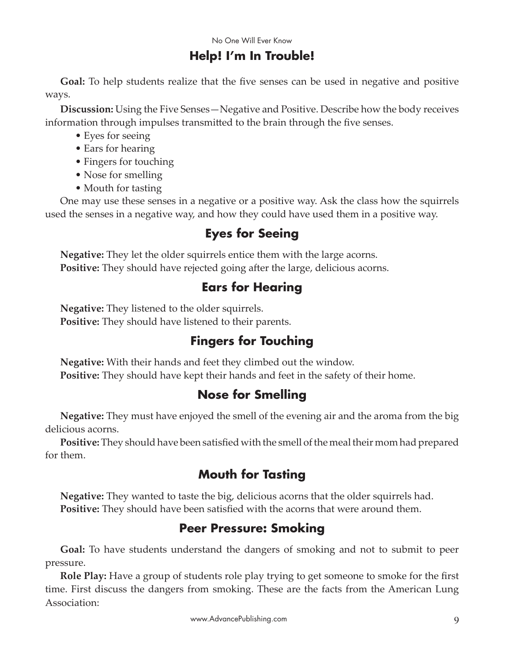#### **Help! I'm In Trouble!**

**Goal:** To help students realize that the five senses can be used in negative and positive ways.

**Discussion:** Using the Five Senses—Negative and Positive. Describe how the body receives information through impulses transmitted to the brain through the five senses.

- Eyes for seeing
- Ears for hearing
- Fingers for touching
- Nose for smelling
- Mouth for tasting

One may use these senses in a negative or a positive way. Ask the class how the squirrels used the senses in a negative way, and how they could have used them in a positive way.

### **Eyes for Seeing**

**Negative:** They let the older squirrels entice them with the large acorns. **Positive:** They should have rejected going after the large, delicious acorns.

#### **Ears for Hearing**

**Negative:** They listened to the older squirrels. **Positive:** They should have listened to their parents.

#### **Fingers for Touching**

**Negative:** With their hands and feet they climbed out the window. **Positive:** They should have kept their hands and feet in the safety of their home.

#### **Nose for Smelling**

**Negative:** They must have enjoyed the smell of the evening air and the aroma from the big delicious acorns.

**Positive:** They should have been satisfied with the smell of the meal their mom had prepared for them.

#### **Mouth for Tasting**

**Negative:** They wanted to taste the big, delicious acorns that the older squirrels had. **Positive:** They should have been satisfied with the acorns that were around them.

#### **Peer Pressure: Smoking**

**Goal:** To have students understand the dangers of smoking and not to submit to peer pressure.

**Role Play:** Have a group of students role play trying to get someone to smoke for the first time. First discuss the dangers from smoking. These are the facts from the American Lung Association: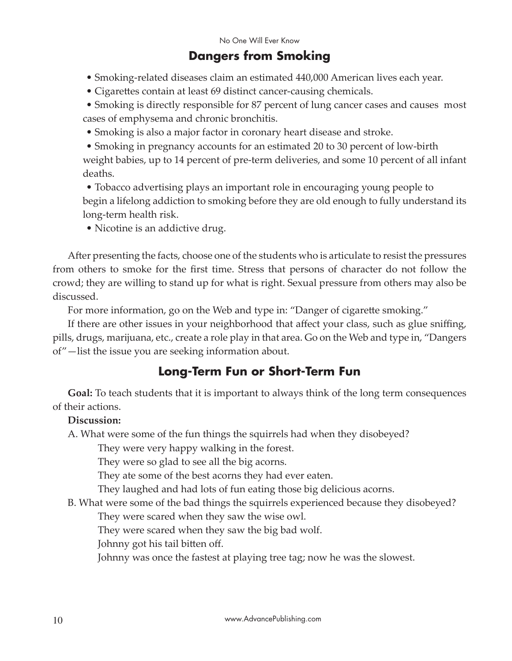#### **Dangers from Smoking**

- Smoking-related diseases claim an estimated 440,000 American lives each year.
- Cigarettes contain at least 69 distinct cancer-causing chemicals.

• Smoking is directly responsible for 87 percent of lung cancer cases and causes most cases of emphysema and chronic bronchitis.

• Smoking is also a major factor in coronary heart disease and stroke.

• Smoking in pregnancy accounts for an estimated 20 to 30 percent of low-birth weight babies, up to 14 percent of pre-term deliveries, and some 10 percent of all infant deaths.

• Tobacco advertising plays an important role in encouraging young people to begin a lifelong addiction to smoking before they are old enough to fully understand its long-term health risk.

• Nicotine is an addictive drug.

After presenting the facts, choose one of the students who is articulate to resist the pressures from others to smoke for the first time. Stress that persons of character do not follow the crowd; they are willing to stand up for what is right. Sexual pressure from others may also be discussed.

For more information, go on the Web and type in: "Danger of cigarette smoking."

If there are other issues in your neighborhood that affect your class, such as glue sniffing, pills, drugs, marijuana, etc., create a role play in that area. Go on the Web and type in, "Dangers of"—list the issue you are seeking information about.

#### **Long-Term Fun or Short-Term Fun**

**Goal:** To teach students that it is important to always think of the long term consequences of their actions.

#### **Discussion:**

A. What were some of the fun things the squirrels had when they disobeyed?

They were very happy walking in the forest.

They were so glad to see all the big acorns.

They ate some of the best acorns they had ever eaten.

They laughed and had lots of fun eating those big delicious acorns.

B. What were some of the bad things the squirrels experienced because they disobeyed?

They were scared when they saw the wise owl.

They were scared when they saw the big bad wolf.

Johnny got his tail bitten off.

Johnny was once the fastest at playing tree tag; now he was the slowest.